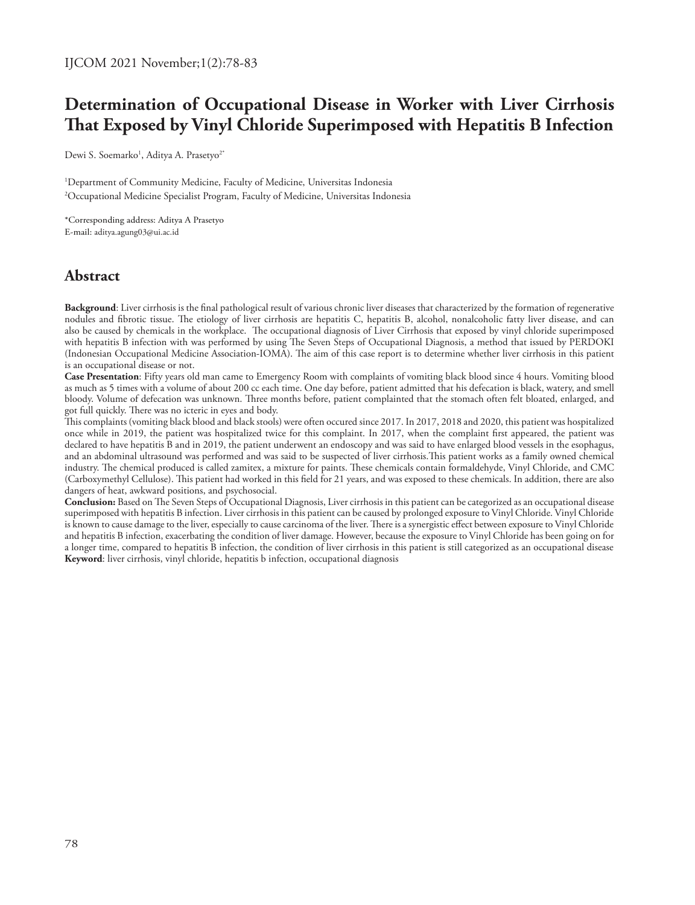# **Determination of Occupational Disease in Worker with Liver Cirrhosis That Exposed by Vinyl Chloride Superimposed with Hepatitis B Infection**

Dewi S. Soemarko<sup>1</sup>, Aditya A. Prasetyo<sup>2\*</sup>

1 Department of Community Medicine, Faculty of Medicine, Universitas Indonesia 2 Occupational Medicine Specialist Program, Faculty of Medicine, Universitas Indonesia

\*Corresponding address: Aditya A Prasetyo E-mail: aditya.agung03@ui.ac.id

## **Abstract**

**Background**: Liver cirrhosis is the final pathological result of various chronic liver diseases that characterized by the formation of regenerative nodules and fibrotic tissue. The etiology of liver cirrhosis are hepatitis C, hepatitis B, alcohol, nonalcoholic fatty liver disease, and can also be caused by chemicals in the workplace. The occupational diagnosis of Liver Cirrhosis that exposed by vinyl chloride superimposed with hepatitis B infection with was performed by using The Seven Steps of Occupational Diagnosis, a method that issued by PERDOKI (Indonesian Occupational Medicine Association-IOMA). The aim of this case report is to determine whether liver cirrhosis in this patient is an occupational disease or not.

**Case Presentation**: Fifty years old man came to Emergency Room with complaints of vomiting black blood since 4 hours. Vomiting blood as much as 5 times with a volume of about 200 cc each time. One day before, patient admitted that his defecation is black, watery, and smell bloody. Volume of defecation was unknown. Three months before, patient complainted that the stomach often felt bloated, enlarged, and got full quickly. There was no icteric in eyes and body.

This complaints (vomiting black blood and black stools) were often occured since 2017. In 2017, 2018 and 2020, this patient was hospitalized once while in 2019, the patient was hospitalized twice for this complaint. In 2017, when the complaint first appeared, the patient was declared to have hepatitis B and in 2019, the patient underwent an endoscopy and was said to have enlarged blood vessels in the esophagus, and an abdominal ultrasound was performed and was said to be suspected of liver cirrhosis.This patient works as a family owned chemical industry. The chemical produced is called zamitex, a mixture for paints. These chemicals contain formaldehyde, Vinyl Chloride, and CMC (Carboxymethyl Cellulose). This patient had worked in this field for 21 years, and was exposed to these chemicals. In addition, there are also dangers of heat, awkward positions, and psychosocial.

**Conclusion:** Based on The Seven Steps of Occupational Diagnosis, Liver cirrhosis in this patient can be categorized as an occupational disease superimposed with hepatitis B infection. Liver cirrhosis in this patient can be caused by prolonged exposure to Vinyl Chloride. Vinyl Chloride is known to cause damage to the liver, especially to cause carcinoma of the liver. There is a synergistic effect between exposure to Vinyl Chloride and hepatitis B infection, exacerbating the condition of liver damage. However, because the exposure to Vinyl Chloride has been going on for a longer time, compared to hepatitis B infection, the condition of liver cirrhosis in this patient is still categorized as an occupational disease **Keyword**: liver cirrhosis, vinyl chloride, hepatitis b infection, occupational diagnosis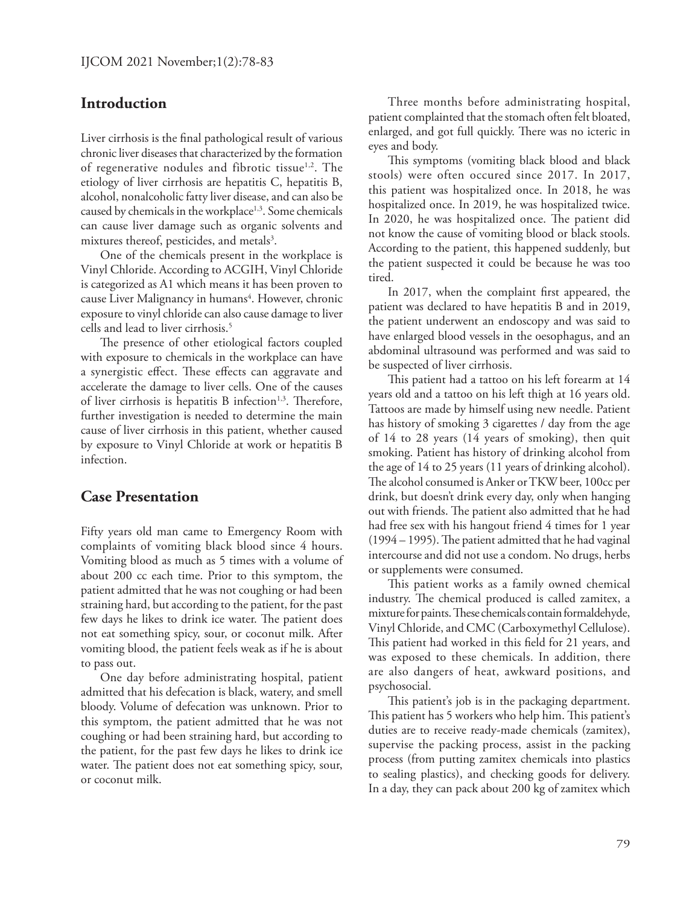### **Introduction**

Liver cirrhosis is the final pathological result of various chronic liver diseases that characterized by the formation of regenerative nodules and fibrotic tissue<sup>1,2</sup>. The etiology of liver cirrhosis are hepatitis C, hepatitis B, alcohol, nonalcoholic fatty liver disease, and can also be caused by chemicals in the workplace<sup>1,3</sup>. Some chemicals can cause liver damage such as organic solvents and mixtures thereof, pesticides, and metals<sup>3</sup>.

One of the chemicals present in the workplace is Vinyl Chloride. According to ACGIH, Vinyl Chloride is categorized as A1 which means it has been proven to cause Liver Malignancy in humans<sup>4</sup>. However, chronic exposure to vinyl chloride can also cause damage to liver cells and lead to liver cirrhosis.<sup>5</sup>

The presence of other etiological factors coupled with exposure to chemicals in the workplace can have a synergistic effect. These effects can aggravate and accelerate the damage to liver cells. One of the causes of liver cirrhosis is hepatitis B infection<sup>1,3</sup>. Therefore, further investigation is needed to determine the main cause of liver cirrhosis in this patient, whether caused by exposure to Vinyl Chloride at work or hepatitis B infection.

#### **Case Presentation**

Fifty years old man came to Emergency Room with complaints of vomiting black blood since 4 hours. Vomiting blood as much as 5 times with a volume of about 200 cc each time. Prior to this symptom, the patient admitted that he was not coughing or had been straining hard, but according to the patient, for the past few days he likes to drink ice water. The patient does not eat something spicy, sour, or coconut milk. After vomiting blood, the patient feels weak as if he is about to pass out.

One day before administrating hospital, patient admitted that his defecation is black, watery, and smell bloody. Volume of defecation was unknown. Prior to this symptom, the patient admitted that he was not coughing or had been straining hard, but according to the patient, for the past few days he likes to drink ice water. The patient does not eat something spicy, sour, or coconut milk.

Three months before administrating hospital, patient complainted that the stomach often felt bloated, enlarged, and got full quickly. There was no icteric in eyes and body.

This symptoms (vomiting black blood and black stools) were often occured since 2017. In 2017, this patient was hospitalized once. In 2018, he was hospitalized once. In 2019, he was hospitalized twice. In 2020, he was hospitalized once. The patient did not know the cause of vomiting blood or black stools. According to the patient, this happened suddenly, but the patient suspected it could be because he was too tired.

In 2017, when the complaint first appeared, the patient was declared to have hepatitis B and in 2019, the patient underwent an endoscopy and was said to have enlarged blood vessels in the oesophagus, and an abdominal ultrasound was performed and was said to be suspected of liver cirrhosis.

This patient had a tattoo on his left forearm at 14 years old and a tattoo on his left thigh at 16 years old. Tattoos are made by himself using new needle. Patient has history of smoking 3 cigarettes / day from the age of 14 to 28 years (14 years of smoking), then quit smoking. Patient has history of drinking alcohol from the age of 14 to 25 years (11 years of drinking alcohol). The alcohol consumed is Anker or TKW beer, 100cc per drink, but doesn't drink every day, only when hanging out with friends. The patient also admitted that he had had free sex with his hangout friend 4 times for 1 year (1994 – 1995). The patient admitted that he had vaginal intercourse and did not use a condom. No drugs, herbs or supplements were consumed.

This patient works as a family owned chemical industry. The chemical produced is called zamitex, a mixture for paints. These chemicals contain formaldehyde, Vinyl Chloride, and CMC (Carboxymethyl Cellulose). This patient had worked in this field for 21 years, and was exposed to these chemicals. In addition, there are also dangers of heat, awkward positions, and psychosocial.

This patient's job is in the packaging department. This patient has 5 workers who help him. This patient's duties are to receive ready-made chemicals (zamitex), supervise the packing process, assist in the packing process (from putting zamitex chemicals into plastics to sealing plastics), and checking goods for delivery. In a day, they can pack about 200 kg of zamitex which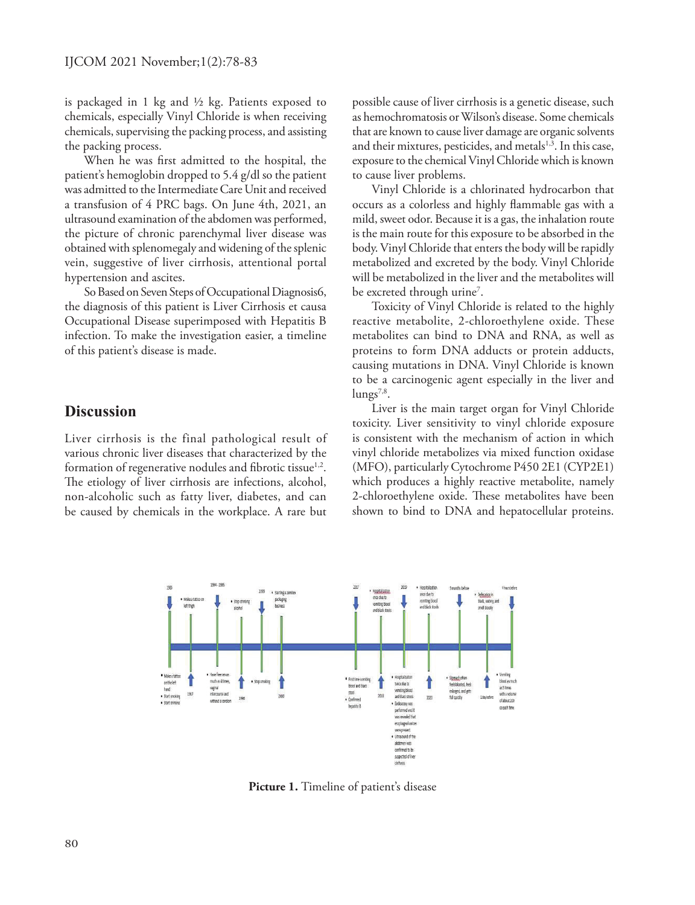is packaged in 1 kg and ½ kg. Patients exposed to chemicals, especially Vinyl Chloride is when receiving chemicals, supervising the packing process, and assisting the packing process.

When he was first admitted to the hospital, the patient's hemoglobin dropped to 5.4 g/dl so the patient was admitted to the Intermediate Care Unit and received a transfusion of 4 PRC bags. On June 4th, 2021, an ultrasound examination of the abdomen was performed, the picture of chronic parenchymal liver disease was obtained with splenomegaly and widening of the splenic vein, suggestive of liver cirrhosis, attentional portal hypertension and ascites.

So Based on Seven Steps of Occupational Diagnosis6, the diagnosis of this patient is Liver Cirrhosis et causa Occupational Disease superimposed with Hepatitis B infection. To make the investigation easier, a timeline of this patient's disease is made.

#### **Discussion**

Liver cirrhosis is the final pathological result of various chronic liver diseases that characterized by the formation of regenerative nodules and fibrotic tissue $1,2$ . The etiology of liver cirrhosis are infections, alcohol, non-alcoholic such as fatty liver, diabetes, and can be caused by chemicals in the workplace. A rare but possible cause of liver cirrhosis is a genetic disease, such as hemochromatosis or Wilson's disease. Some chemicals that are known to cause liver damage are organic solvents and their mixtures, pesticides, and metals<sup>1,3</sup>. In this case, exposure to the chemical Vinyl Chloride which is known to cause liver problems.

Vinyl Chloride is a chlorinated hydrocarbon that occurs as a colorless and highly flammable gas with a mild, sweet odor. Because it is a gas, the inhalation route is the main route for this exposure to be absorbed in the body. Vinyl Chloride that enters the body will be rapidly metabolized and excreted by the body. Vinyl Chloride will be metabolized in the liver and the metabolites will be excreted through urine<sup>7</sup>.

Toxicity of Vinyl Chloride is related to the highly reactive metabolite, 2-chloroethylene oxide. These metabolites can bind to DNA and RNA, as well as proteins to form DNA adducts or protein adducts, causing mutations in DNA. Vinyl Chloride is known to be a carcinogenic agent especially in the liver and  $\text{lungs}^{7,8}$ .

Liver is the main target organ for Vinyl Chloride toxicity. Liver sensitivity to vinyl chloride exposure is consistent with the mechanism of action in which vinyl chloride metabolizes via mixed function oxidase (MFO), particularly Cytochrome P450 2E1 (CYP2E1) which produces a highly reactive metabolite, namely 2-chloroethylene oxide. These metabolites have been shown to bind to DNA and hepatocellular proteins.



Picture 1. Timeline of patient's disease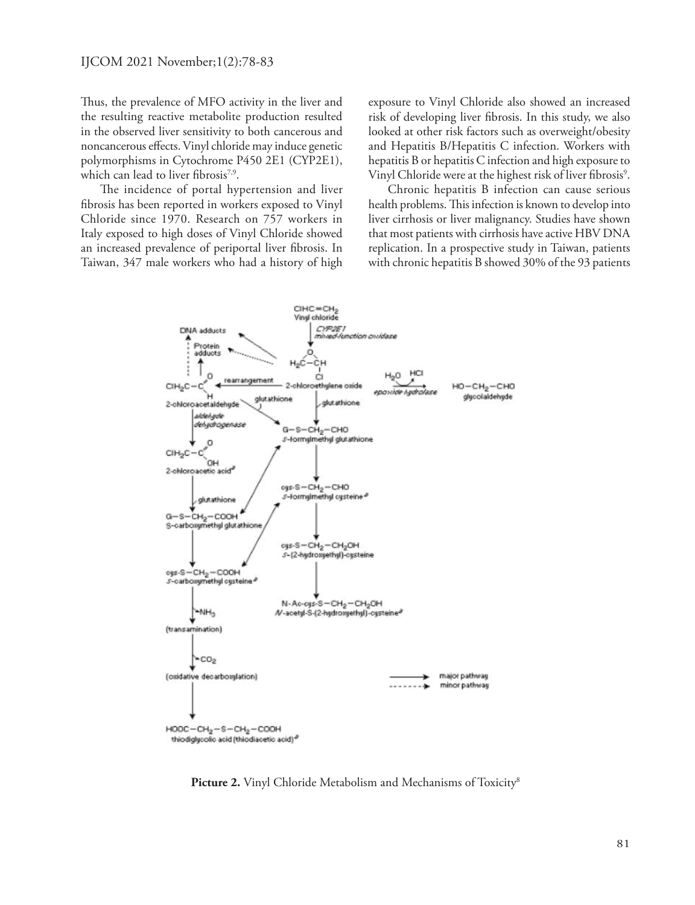Thus, the prevalence of MFO activity in the liver and the resulting reactive metabolite production resulted in the observed liver sensitivity to both cancerous and noncancerous effects. Vinyl chloride may induce genetic polymorphisms in Cytochrome P450 2E1 (CYP2E1), which can lead to liver fibrosis<sup>7,9</sup>.

The incidence of portal hypertension and liver fibrosis has been reported in workers exposed to Vinyl Chloride since 1970. Research on 757 workers in Italy exposed to high doses of Vinyl Chloride showed an increased prevalence of periportal liver fibrosis. In Taiwan, 347 male workers who had a history of high exposure to Vinyl Chloride also showed an increased risk of developing liver fibrosis. In this study, we also looked at other risk factors such as overweight/obesity and Hepatitis B/Hepatitis C infection. Workers with hepatitis B or hepatitis C infection and high exposure to Vinyl Chloride were at the highest risk of liver fibrosis<sup>9</sup>.

Chronic hepatitis B infection can cause serious health problems. This infection is known to develop into liver cirrhosis or liver malignancy. Studies have shown that most patients with cirrhosis have active HBV DNA replication. In a prospective study in Taiwan, patients with chronic hepatitis B showed 30% of the 93 patients



Picture 2. Vinyl Chloride Metabolism and Mechanisms of Toxicity<sup>8</sup>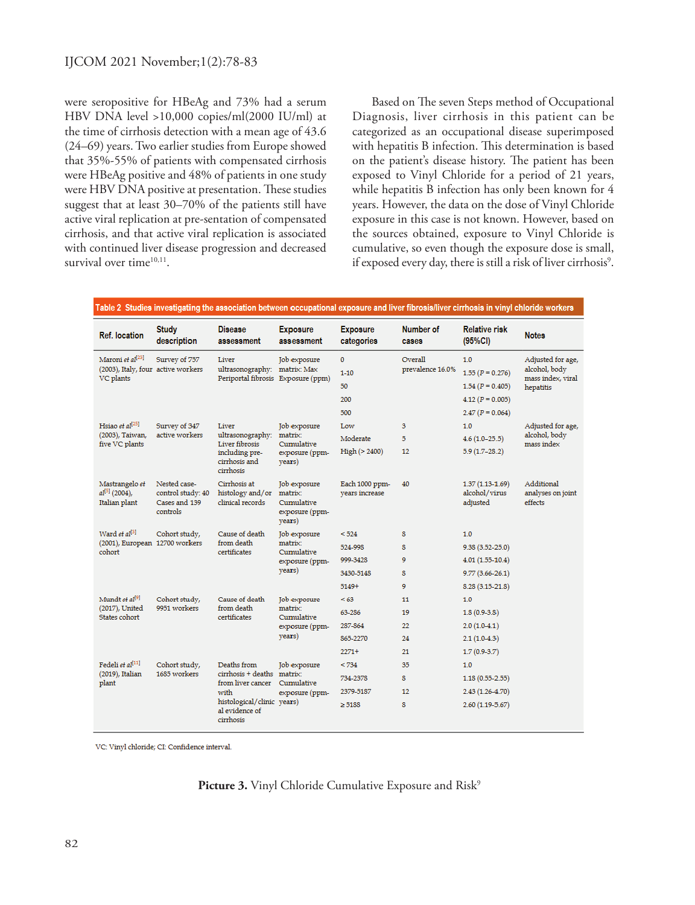were seropositive for HBeAg and 73% had a serum HBV DNA level >10,000 copies/ml(2000 IU/ml) at the time of cirrhosis detection with a mean age of 43.6 (24–69) years. Two earlier studies from Europe showed that 35%-55% of patients with compensated cirrhosis were HBeAg positive and 48% of patients in one study were HBV DNA positive at presentation. These studies suggest that at least 30–70% of the patients still have active viral replication at pre-sentation of compensated cirrhosis, and that active viral replication is associated with continued liver disease progression and decreased survival over time<sup>10,11</sup>.

Based on The seven Steps method of Occupational Diagnosis, liver cirrhosis in this patient can be categorized as an occupational disease superimposed with hepatitis B infection. This determination is based on the patient's disease history. The patient has been exposed to Vinyl Chloride for a period of 21 years, while hepatitis B infection has only been known for 4 years. However, the data on the dose of Vinyl Chloride exposure in this case is not known. However, based on the sources obtained, exposure to Vinyl Chloride is cumulative, so even though the exposure dose is small, if exposed every day, there is still a risk of liver cirrhosis<sup>9</sup>.

| <b>Ref. location</b>                                                            | <b>Study</b><br>description                                    | <b>Disease</b><br>assessment                                                                                                        | <b>Exposure</b><br>assessment                                     | <b>Exposure</b><br>categories    | Number of<br>cases | <b>Relative risk</b><br>(95%CI)                | <b>Notes</b>                                                         |
|---------------------------------------------------------------------------------|----------------------------------------------------------------|-------------------------------------------------------------------------------------------------------------------------------------|-------------------------------------------------------------------|----------------------------------|--------------------|------------------------------------------------|----------------------------------------------------------------------|
| Maroni et al <sup>[23]</sup><br>(2003), Italy, four active workers<br>VC plants | Survey of 757                                                  | Liver<br>ultrasonography: matrix: Max<br>Periportal fibrosis Exposure (ppm)                                                         | Job exposure                                                      | $\Omega$                         | Overall            | 1.0                                            | Adjusted for age,<br>alcohol, body<br>mass index, viral<br>hepatitis |
|                                                                                 |                                                                |                                                                                                                                     |                                                                   | $1 - 10$                         | prevalence 16.0%   | $1.55 (P = 0.276)$                             |                                                                      |
|                                                                                 |                                                                |                                                                                                                                     |                                                                   | 50                               |                    | $1.54 (P = 0.405)$                             |                                                                      |
|                                                                                 |                                                                |                                                                                                                                     |                                                                   | 200                              |                    | $4.12 (P = 0.005)$                             |                                                                      |
|                                                                                 |                                                                |                                                                                                                                     |                                                                   | 500                              |                    | $2.47 (P = 0.064)$                             |                                                                      |
| Hsiao et $a1^{[25]}$<br>(2003), Taiwan,<br>five VC plants                       | Survey of 347<br>active workers                                | Liver<br>ultrasonography:<br><b>Liver fibrosis</b><br>including pre-<br>cirrhosis and<br>cirrhosis                                  | Job exposure<br>matrix:<br>Cumulative<br>exposure (ppm-<br>years) | Low                              | 3                  | 1.0                                            | Adjusted for age,<br>alcohol, body<br>mass index                     |
|                                                                                 |                                                                |                                                                                                                                     |                                                                   | Moderate                         | 5                  | $4.6(1.0-25.5)$                                |                                                                      |
|                                                                                 |                                                                |                                                                                                                                     |                                                                   | High (> 2400)                    | 12                 | $5.9(1.7-28.2)$                                |                                                                      |
| Mastrangelo et<br>$al^{[5]}$ (2004),<br>Italian plant                           | Nested case-<br>control study: 40<br>Cases and 139<br>controls | Cirrhosis at<br>histology and/or<br>clinical records                                                                                | Job exposure<br>matrix:<br>Cumulative<br>exposure (ppm-<br>years) | Each 1000 ppm-<br>vears increase | 40                 | $1.37(1.13-1.69)$<br>alcohol/virus<br>adjusted | Additional<br>analyses on joint<br>effects                           |
| Ward et al <sup>[3]</sup><br>(2001), European 12700 workers<br>cohort           | Cohort study,                                                  | Cause of death<br>from death<br>certificates                                                                                        | Job exposure<br>matrix:<br>Cumulative<br>exposure (ppm-<br>years) | < 524                            | 8                  | 1.0                                            |                                                                      |
|                                                                                 |                                                                |                                                                                                                                     |                                                                   | 524-998                          | 8                  | 9.38 (3.52-25.0)                               |                                                                      |
|                                                                                 |                                                                |                                                                                                                                     |                                                                   | 999-3428                         | 9                  | $4.01(1.55-10.4)$                              |                                                                      |
|                                                                                 |                                                                |                                                                                                                                     |                                                                   | 3430-5148                        | 8                  | $9.77(3.66 - 26.1)$                            |                                                                      |
|                                                                                 |                                                                |                                                                                                                                     |                                                                   | 5149+                            | 9                  | $8.28(3.15-21.8)$                              |                                                                      |
| Mundt et al <sup>[9]</sup><br>(2017). United<br>States cohort                   | Cohort study,<br>9951 workers                                  | Cause of death<br>from death<br>certificates                                                                                        | Job exposure<br>matrix:<br>Cumulative<br>exposure (ppm-<br>years) | < 63                             | 11                 | 1.0                                            |                                                                      |
|                                                                                 |                                                                |                                                                                                                                     |                                                                   | 63-286                           | 19                 | $1.8(0.9-3.8)$                                 |                                                                      |
|                                                                                 |                                                                |                                                                                                                                     |                                                                   | 287-864                          | 22                 | $2.0(1.0-4.1)$                                 |                                                                      |
|                                                                                 |                                                                |                                                                                                                                     |                                                                   | 865-2270                         | 24                 | $2.1(1.0-4.3)$                                 |                                                                      |
|                                                                                 |                                                                |                                                                                                                                     |                                                                   | $2271+$                          | 21                 | $1.7(0.9-3.7)$                                 |                                                                      |
| Fedeli et al <sup>[11]</sup><br>(2019), Italian<br>plant                        | Cohort study.<br>1685 workers                                  | Deaths from<br>cirrhosis + deaths matrix:<br>from liver cancer<br>with<br>histological/clinic years)<br>al evidence of<br>cirrhosis | <b>Job</b> exposure<br>Cumulative<br>exposure (ppm-               | < 734                            | 35                 | 1.0                                            |                                                                      |
|                                                                                 |                                                                |                                                                                                                                     |                                                                   | 734-2378                         | 8                  | $1.18(0.55 - 2.55)$                            |                                                                      |
|                                                                                 |                                                                |                                                                                                                                     |                                                                   | 2379-5187                        | 12                 | 2.43 (1.26-4.70)                               |                                                                      |
|                                                                                 |                                                                |                                                                                                                                     |                                                                   | > 5188                           | 8                  | $2.60(1.19-5.67)$                              |                                                                      |

| Table 2 Studies investigating the association between occupational exposure and liver fibrosis/liver cirrhosis in vinyl chloride worke |  |  |
|----------------------------------------------------------------------------------------------------------------------------------------|--|--|

VC: Vinyl chloride; CI: Confidence interval.

**Picture 3.** Vinyl Chloride Cumulative Exposure and Risk<sup>9</sup>